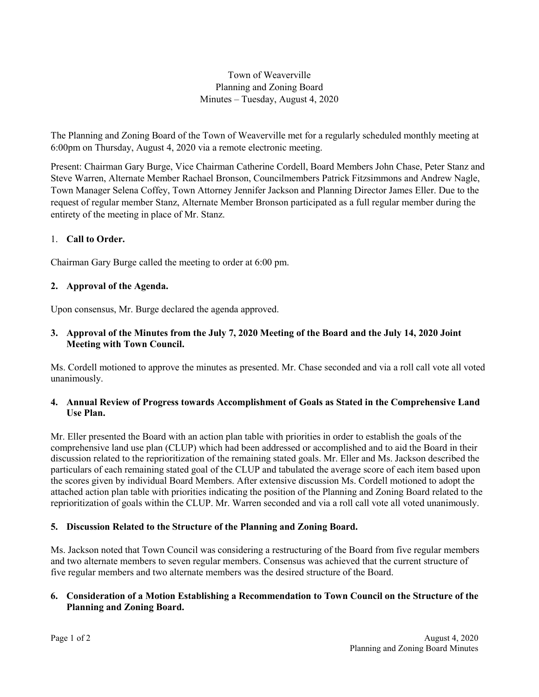## Town of Weaverville Planning and Zoning Board Minutes – Tuesday, August 4, 2020

The Planning and Zoning Board of the Town of Weaverville met for a regularly scheduled monthly meeting at 6:00pm on Thursday, August 4, 2020 via a remote electronic meeting.

Present: Chairman Gary Burge, Vice Chairman Catherine Cordell, Board Members John Chase, Peter Stanz and Steve Warren, Alternate Member Rachael Bronson, Councilmembers Patrick Fitzsimmons and Andrew Nagle, Town Manager Selena Coffey, Town Attorney Jennifer Jackson and Planning Director James Eller. Due to the request of regular member Stanz, Alternate Member Bronson participated as a full regular member during the entirety of the meeting in place of Mr. Stanz.

## 1. **Call to Order.**

Chairman Gary Burge called the meeting to order at 6:00 pm.

## **2. Approval of the Agenda.**

Upon consensus, Mr. Burge declared the agenda approved.

## **3. Approval of the Minutes from the July 7, 2020 Meeting of the Board and the July 14, 2020 Joint Meeting with Town Council.**

Ms. Cordell motioned to approve the minutes as presented. Mr. Chase seconded and via a roll call vote all voted unanimously.

## **4. Annual Review of Progress towards Accomplishment of Goals as Stated in the Comprehensive Land Use Plan.**

Mr. Eller presented the Board with an action plan table with priorities in order to establish the goals of the comprehensive land use plan (CLUP) which had been addressed or accomplished and to aid the Board in their discussion related to the reprioritization of the remaining stated goals. Mr. Eller and Ms. Jackson described the particulars of each remaining stated goal of the CLUP and tabulated the average score of each item based upon the scores given by individual Board Members. After extensive discussion Ms. Cordell motioned to adopt the attached action plan table with priorities indicating the position of the Planning and Zoning Board related to the reprioritization of goals within the CLUP. Mr. Warren seconded and via a roll call vote all voted unanimously.

## **5. Discussion Related to the Structure of the Planning and Zoning Board.**

Ms. Jackson noted that Town Council was considering a restructuring of the Board from five regular members and two alternate members to seven regular members. Consensus was achieved that the current structure of five regular members and two alternate members was the desired structure of the Board.

## **6. Consideration of a Motion Establishing a Recommendation to Town Council on the Structure of the Planning and Zoning Board.**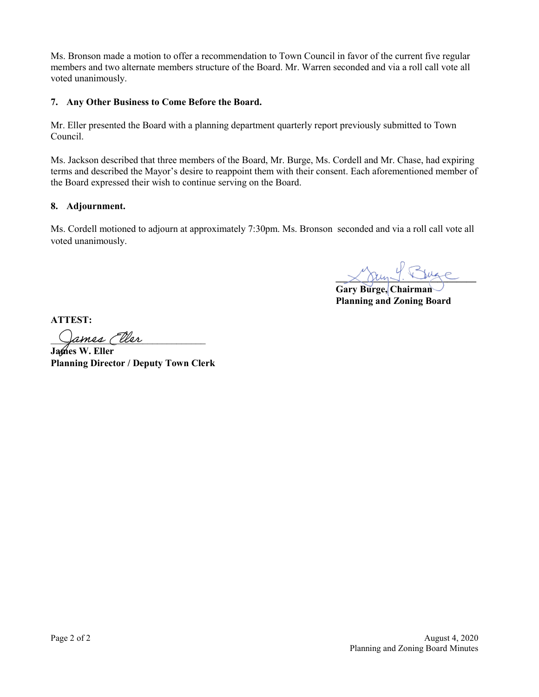Ms. Bronson made a motion to offer a recommendation to Town Council in favor of the current five regular members and two alternate members structure of the Board. Mr. Warren seconded and via a roll call vote all voted unanimously.

## **7. Any Other Business to Come Before the Board.**

Mr. Eller presented the Board with a planning department quarterly report previously submitted to Town Council.

Ms. Jackson described that three members of the Board, Mr. Burge, Ms. Cordell and Mr. Chase, had expiring terms and described the Mayor's desire to reappoint them with their consent. Each aforementioned member of the Board expressed their wish to continue serving on the Board.

## **8. Adjournment.**

Ms. Cordell motioned to adjourn at approximately 7:30pm. Ms. Bronson seconded and via a roll call vote all voted unanimously.

 $X$ am Y. Buge

**Gary Burge, Chairman Planning and Zoning Board** 

**ATTEST:**

ames (ller

**James W. Eller Planning Director / Deputy Town Clerk**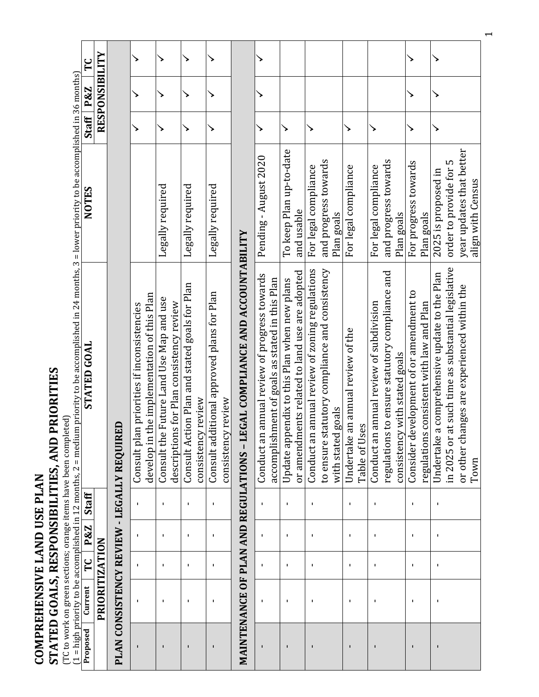COMPREHENSIVE LAND USE PLAN<br>STATED GOALS, RESPONSIBILITIES, AND PRIORITIES<br>(TC to work on green sections; orange items have been completed) **COMPREHENSIVE LAND USE PLAN**

# **STATED GOALS, RESPONSIBILITIES, AND PRIORITIES**

(TC to work on green sections; orange items have been completed)

| FC                                                                                                                                                                                 |                |                                                |                                                                                              |                                                                                     |                                                                     |                                                                  |                                                                           |                                                                                                    |                                                                                              |                                                                                                                       |                                                           |                                                                                                                            |                                                                                     |                                                                                                                                                              |
|------------------------------------------------------------------------------------------------------------------------------------------------------------------------------------|----------------|------------------------------------------------|----------------------------------------------------------------------------------------------|-------------------------------------------------------------------------------------|---------------------------------------------------------------------|------------------------------------------------------------------|---------------------------------------------------------------------------|----------------------------------------------------------------------------------------------------|----------------------------------------------------------------------------------------------|-----------------------------------------------------------------------------------------------------------------------|-----------------------------------------------------------|----------------------------------------------------------------------------------------------------------------------------|-------------------------------------------------------------------------------------|--------------------------------------------------------------------------------------------------------------------------------------------------------------|
| P&Z                                                                                                                                                                                | RESPONSIBILITY |                                                |                                                                                              |                                                                                     | ↘                                                                   |                                                                  |                                                                           |                                                                                                    |                                                                                              |                                                                                                                       |                                                           |                                                                                                                            |                                                                                     |                                                                                                                                                              |
| Staff <sup>1</sup>                                                                                                                                                                 |                |                                                | >                                                                                            | >                                                                                   | ↘                                                                   | ↘                                                                |                                                                           |                                                                                                    | ↘                                                                                            | ↘                                                                                                                     | ↘                                                         | ↘                                                                                                                          | ↘                                                                                   | >                                                                                                                                                            |
| <b>NOTES</b>                                                                                                                                                                       |                |                                                |                                                                                              | Legally required                                                                    | Legally required                                                    | Legally required                                                 |                                                                           | Pending - August 2020                                                                              | To keep Plan up-to-date<br>and usable                                                        | and progress towards<br>For legal compliance<br>Plan goals                                                            | For legal compliance                                      | and progress towards<br>For legal compliance<br>Plan goals                                                                 | For progress towards<br>Plan goals                                                  | year updates that better<br>order to provide for 5<br>2025 is proposed in<br>align with Census                                                               |
| (1 = high priority to be accomplished in 12 months, 2 = medium priority to be accomplished in 24 months, 3 = lower priority to be accomplished in 36 months)<br><b>STATED GOAL</b> |                | ŒD<br>PLAN CONSISTENCY REVIEW - LEGALLY REQUIR | develop in the implementation of this Plan<br>an priorities if inconsistencies<br>Consult pl | Consult the Future Land Use Map and use<br>descriptions for Plan consistency review | Consult Action Plan and stated goals for Plan<br>consistency review | Consult additional approved plans for Plan<br>consistency review | MAINTENANCE OF PLAN AND REGULATIONS - LEGAL COMPLIANCE AND ACCOUNTABILITY | n annual review of progress towards<br>accomplishment of goals as stated in this Plan<br>Conduct a | or amendments related to land use are adopted<br>Update appendix to this Plan when new plans | Conduct an annual review of zoning regulations<br>to ensure statutory compliance and consistency<br>with stated goals | an annual review of the<br>ses<br>Undertake<br>Table of U | regulations to ensure statutory compliance and<br>Conduct an annual review of subdivision<br>consistency with stated goals | Consider development of or amendment to<br>regulations consistent with law and Plan | in 2025 or at such time as substantial legislative<br>a comprehensive update to the Plan<br>or other changes are experienced within the<br>Undertake<br>Town |
| Staff                                                                                                                                                                              |                |                                                | $\blacksquare$                                                                               | $\blacksquare$                                                                      | ٠                                                                   | $\blacksquare$                                                   |                                                                           | $\blacksquare$                                                                                     | ٠                                                                                            | $\blacksquare$                                                                                                        | $\mathbf I$                                               | $\blacksquare$                                                                                                             | $\blacksquare$                                                                      | J,                                                                                                                                                           |
| P&Z                                                                                                                                                                                |                |                                                | $\mathbf I$                                                                                  | J.                                                                                  | J.                                                                  | $\blacksquare$                                                   |                                                                           | $\blacksquare$                                                                                     | ٠                                                                                            | J.                                                                                                                    | $\mathbf I$                                               | J,                                                                                                                         | 1                                                                                   | J,                                                                                                                                                           |
| ۲C<br>T                                                                                                                                                                            |                |                                                | $\blacksquare$                                                                               | J,                                                                                  | J.                                                                  | 1                                                                |                                                                           | $\blacksquare$                                                                                     | J.                                                                                           | J.                                                                                                                    | J.                                                        | J,                                                                                                                         | $\blacksquare$                                                                      | J,                                                                                                                                                           |
| Current                                                                                                                                                                            | PRIORITIZATION |                                                | $\blacksquare$                                                                               | J.                                                                                  | J.                                                                  | $\blacksquare$                                                   |                                                                           | $\blacksquare$                                                                                     | J.                                                                                           | J.                                                                                                                    | ٠                                                         | J,                                                                                                                         | J.                                                                                  | J,                                                                                                                                                           |
| Proposed                                                                                                                                                                           |                |                                                |                                                                                              | $\blacksquare$                                                                      |                                                                     | $\mathbf{I}$                                                     |                                                                           | $\blacksquare$                                                                                     |                                                                                              | $\blacksquare$                                                                                                        | $\blacksquare$                                            | $\mathbf{I}$                                                                                                               |                                                                                     | ı                                                                                                                                                            |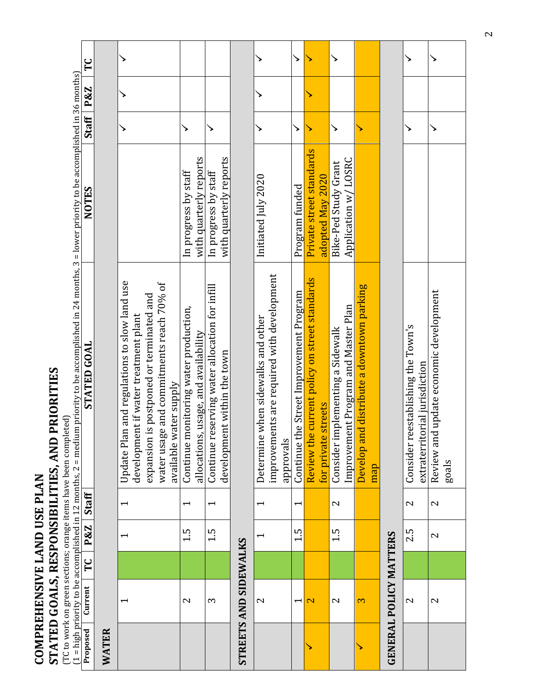| COMPREHENSIVE LAND USE PLAN   |                          |    |                          |                          |                                                                                                                                                                             |                             |                    |     |    |
|-------------------------------|--------------------------|----|--------------------------|--------------------------|-----------------------------------------------------------------------------------------------------------------------------------------------------------------------------|-----------------------------|--------------------|-----|----|
|                               |                          |    |                          |                          | <b>PRIORITIES</b><br>eted)<br>(TC to work on green sections; orange items have been compl<br>STATED GOALS, RESPONSIBILITIES, AND                                            |                             |                    |     |    |
| Proposed                      | Current                  | TC | P&Z                      | Staff                    | (1 = high priority to be accomplished in 12 months, 2 = medium priority to be accomplished in 24 months, 3 = lower priority to be accomplished in 36 months)<br>STATED GOAL | <b>NOTES</b>                | Staff <sup>1</sup> | P&Z | TC |
| WATER                         |                          |    |                          |                          |                                                                                                                                                                             |                             |                    |     |    |
|                               | $\overline{\phantom{0}}$ |    | $\overline{\phantom{0}}$ | $\overline{\phantom{0}}$ | Update Plan and regulations to slow land use                                                                                                                                |                             |                    |     |    |
|                               |                          |    |                          |                          | development if water treatment plant                                                                                                                                        |                             |                    |     |    |
|                               |                          |    |                          |                          | is postponed or terminated and<br>expansion                                                                                                                                 |                             |                    |     |    |
|                               |                          |    |                          |                          | water usage and commitments reach 70% of<br>available water supply                                                                                                          |                             |                    |     |    |
|                               | $\mathbf{c}$             |    | 1.5                      | $\overline{\phantom{0}}$ | Continue monitoring water production,                                                                                                                                       | In progress by staff        | >                  |     |    |
|                               |                          |    |                          |                          | allocations, usage, and availability                                                                                                                                        | with quarterly reports      |                    |     |    |
|                               | S                        |    | 1.5                      | $\overline{\phantom{a}}$ | Continue reserving water allocation for infill                                                                                                                              | In progress by staff        |                    |     |    |
|                               |                          |    |                          |                          | development within the town                                                                                                                                                 | with quarterly reports      |                    |     |    |
| <b>STREETS AND SIDEWALKS</b>  |                          |    |                          |                          |                                                                                                                                                                             |                             |                    |     |    |
|                               | $\mathbf{\Omega}$        |    | $\overline{\phantom{0}}$ | $\overline{\phantom{0}}$ | Determine when sidewalks and other                                                                                                                                          | Initiated July 2020         |                    |     |    |
|                               |                          |    |                          |                          | improvements are required with development                                                                                                                                  |                             |                    |     |    |
|                               |                          |    |                          |                          | approvals                                                                                                                                                                   |                             |                    |     |    |
|                               | $\overline{\phantom{0}}$ |    | 1.5                      | $\overline{\phantom{0}}$ | Continue the Street Improvement Program                                                                                                                                     | Program funded              | ↘                  |     | ↘  |
|                               | $\overline{\mathbf{C}}$  |    |                          |                          | Review the current policy on street standards                                                                                                                               | Private street standards    |                    |     |    |
|                               |                          |    |                          |                          | streets<br>for private                                                                                                                                                      | adopted May 2020            |                    |     |    |
|                               | 2                        |    | 1.5                      | 2                        | Consider implementing a Sidewalk                                                                                                                                            | <b>Bike-Ped Study Grant</b> | ↘                  |     | ↘  |
|                               |                          |    |                          |                          | Improvement Program and Master Plan                                                                                                                                         | Application w/LOSRC         |                    |     |    |
|                               | 3                        |    |                          |                          | d distribute a downtown parking<br>Develop an                                                                                                                               |                             |                    |     |    |
|                               |                          |    |                          |                          | map                                                                                                                                                                         |                             |                    |     |    |
| <b>GENERAL POLICY MATTERS</b> |                          |    |                          |                          |                                                                                                                                                                             |                             |                    |     |    |
|                               | 2                        |    | 2.5                      | 2                        | Consider reestablishing the Town's                                                                                                                                          |                             | ↘                  |     |    |
|                               |                          |    |                          |                          | extraterritorial jurisdiction                                                                                                                                               |                             |                    |     |    |
|                               | 2                        |    | 2                        | 2                        | Review and update economic development                                                                                                                                      |                             |                    |     |    |
|                               |                          |    |                          |                          | goals                                                                                                                                                                       |                             |                    |     |    |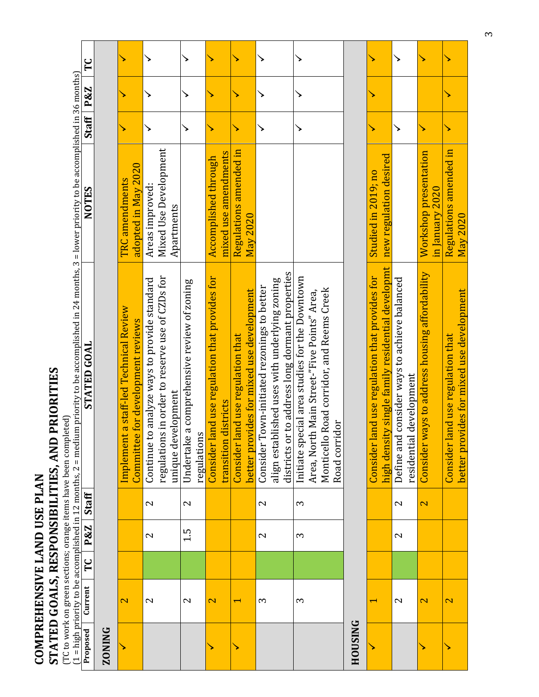**COMPREHENSIVE LAND USE PLAN<br>STATED GOALS, RESPONSIBILITIES, AND PRIORITIES STATED GOALS, RESPONSIBILITIES, AND PRIORITIES COMPREHENSIVE LAND USE PLAN**

(TC to work on green sections; orange items have been completed)

|                |                   |   |                   |                          | (1 = high priority to be accomplished in 12 months, 2 = medium priority to be accomplished in 24 months, 3 = lower priority to be accomplished in 36 months) |                        |              |     |    |
|----------------|-------------------|---|-------------------|--------------------------|--------------------------------------------------------------------------------------------------------------------------------------------------------------|------------------------|--------------|-----|----|
| Proposed       | Current           | Ľ | P&Z               | <b>Staff</b>             | STATED GOAL                                                                                                                                                  | <b>NOTES</b>           | <b>Staff</b> | P&Z | ΓC |
| <b>ZONING</b>  |                   |   |                   |                          |                                                                                                                                                              |                        |              |     |    |
|                | $\mathbf{\Omega}$ |   |                   |                          | Implement a staff-led Technical Review                                                                                                                       | TRC amendments         |              |     |    |
|                |                   |   |                   |                          | Committee for development reviews                                                                                                                            | adopted in May 2020    |              |     |    |
|                | $\mathbf{\Omega}$ |   | $\mathbf{\Omega}$ | $\mathbf{\Omega}$        | analyze ways to provide standard<br>Continue to                                                                                                              | Areas improved:        |              |     |    |
|                |                   |   |                   |                          | regulations in order to reserve use of CZDs for                                                                                                              | Mixed Use Development  |              |     |    |
|                |                   |   |                   |                          | unique development                                                                                                                                           | Apartments             |              |     |    |
|                | 2                 |   | 1.5               | $\overline{\mathcal{C}}$ | Undertake a comprehensive review of zoning                                                                                                                   |                        |              |     |    |
|                |                   |   |                   |                          | regulations                                                                                                                                                  |                        |              |     |    |
|                | $\mathbf{\Omega}$ |   |                   |                          | Consider land use regulation that provides for                                                                                                               | Accomplished through   |              |     |    |
|                |                   |   |                   |                          | transition districts                                                                                                                                         | mixed use amendments   |              |     |    |
|                |                   |   |                   |                          | Consider land use regulation that                                                                                                                            | Regulations amended in |              |     |    |
|                |                   |   |                   |                          | better provides for mixed use development                                                                                                                    | May 2020               |              |     |    |
|                | S                 |   | 2                 | 2                        | Consider Town-initiated rezonings to better                                                                                                                  |                        |              |     |    |
|                |                   |   |                   |                          | align established uses with underlying zoning                                                                                                                |                        |              |     |    |
|                |                   |   |                   |                          | districts or to address long dormant properties                                                                                                              |                        |              |     |    |
|                | S                 |   | S                 | 3                        | Initiate special area studies for the Downtown                                                                                                               |                        |              |     |    |
|                |                   |   |                   |                          | Area, North Main Street-"Five Points" Area,                                                                                                                  |                        |              |     |    |
|                |                   |   |                   |                          | Road corridor, and Reems Creek<br>Monticello                                                                                                                 |                        |              |     |    |
|                |                   |   |                   |                          | Road corridor                                                                                                                                                |                        |              |     |    |
| <b>HOUSING</b> |                   |   |                   |                          |                                                                                                                                                              |                        |              |     |    |
|                |                   |   |                   |                          | Consider land use regulation that provides for                                                                                                               | Studied in 2019; no    |              |     |    |
|                |                   |   |                   |                          | high density single family residential developmt                                                                                                             | new regulation desired |              |     |    |

| Studied in 2019; no                                                                                                                 |                                                                              | in January 2020                                                        | Regulations amended in<br>May 2020                                                    |
|-------------------------------------------------------------------------------------------------------------------------------------|------------------------------------------------------------------------------|------------------------------------------------------------------------|---------------------------------------------------------------------------------------|
| sity single family residential developmt   new regulation desired<br>land use regulation that provides for<br>Consider<br>nigh dens | Define and consider ways to achieve balanced<br>al development<br>residenti. | Consider ways to address housing affordability   Workshop presentation | ovides for mixed use development<br>land use regulation that<br>Consider<br>better pr |
|                                                                                                                                     |                                                                              |                                                                        |                                                                                       |
|                                                                                                                                     |                                                                              |                                                                        |                                                                                       |
|                                                                                                                                     |                                                                              |                                                                        |                                                                                       |
|                                                                                                                                     |                                                                              |                                                                        |                                                                                       |
|                                                                                                                                     |                                                                              |                                                                        |                                                                                       |